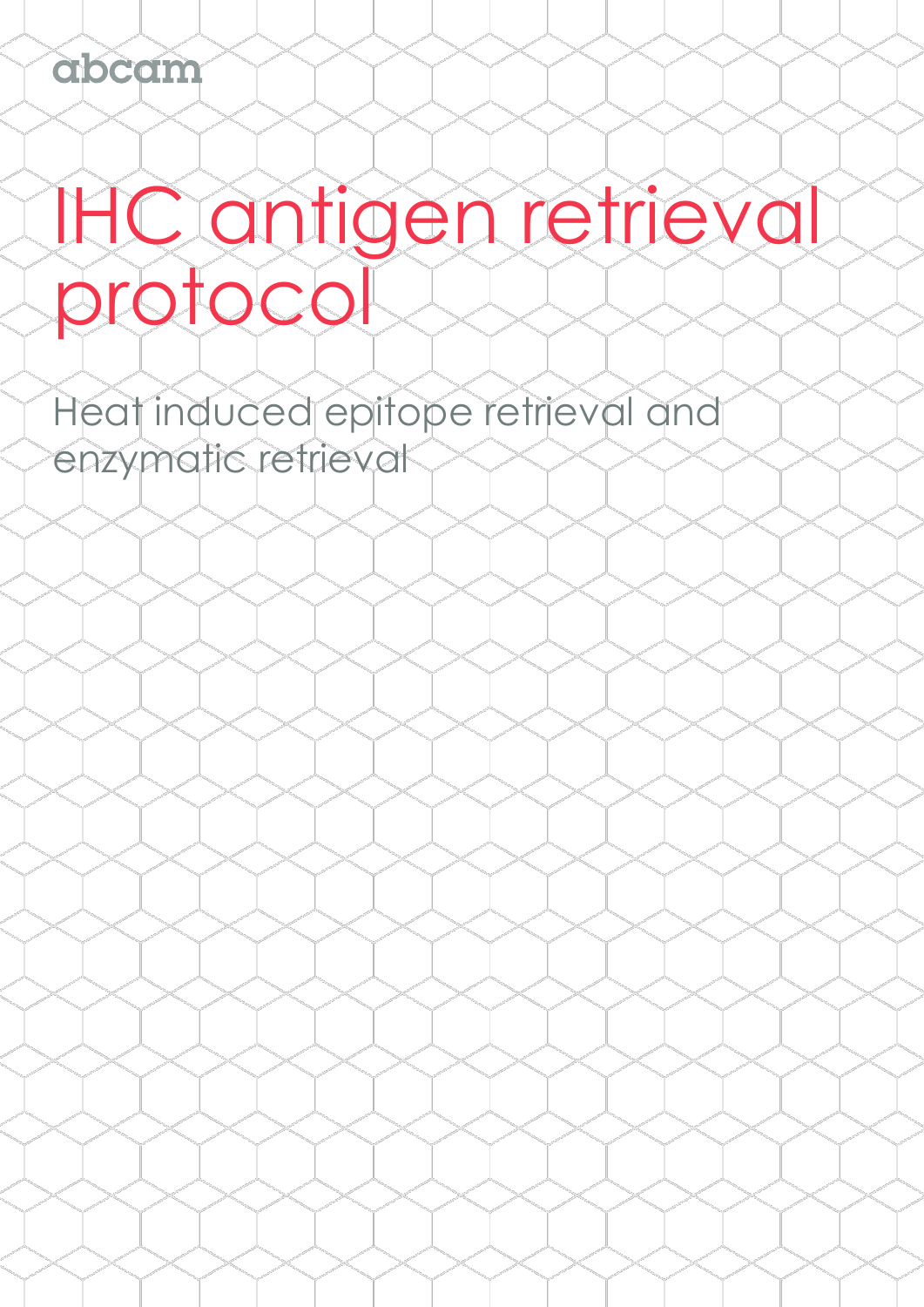# IHC antigen retrieval protocol

Heat induced epitope retrieval and enzymatic retrieval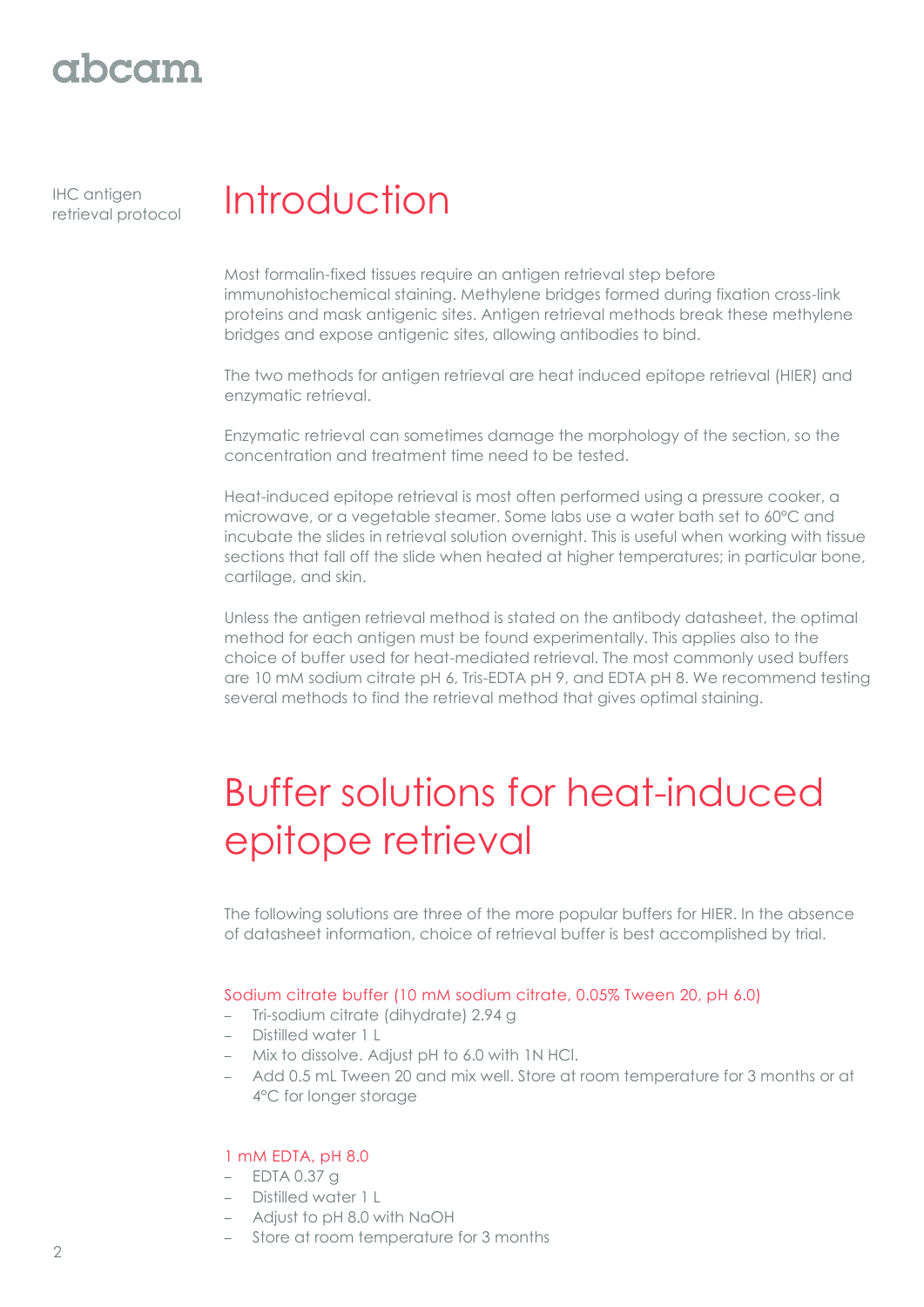# abcam

IHC antigen

# IHC antigen **Introduction**

Most formalin-fixed tissues require an antigen retrieval step before immunohistochemical staining. Methylene bridges formed during fixation cross-link proteins and mask antigenic sites. Antigen retrieval methods break these methylene bridges and expose antigenic sites, allowing antibodies to bind.

The two methods for antigen retrieval are heat induced epitope retrieval (HIER) and enzymatic retrieval.

Enzymatic retrieval can sometimes damage the morphology of the section, so the concentration and treatment time need to be tested.

Heat-induced epitope retrieval is most often performed using a pressure cooker, a microwave, or a vegetable steamer. Some labs use a water bath set to 60°C and incubate the slides in retrieval solution overnight. This is useful when working with tissue sections that fall off the slide when heated at higher temperatures; in particular bone, cartilage, and skin.

Unless the antigen retrieval method is stated on the antibody datasheet, the optimal method for each antigen must be found experimentally. This applies also to the choice of buffer used for heat-mediated retrieval. The most commonly used buffers are 10 mM sodium citrate pH 6, Tris-EDTA pH 9, and EDTA pH 8. We recommend testing several methods to find the retrieval method that gives optimal staining.

# Buffer solutions for heat-induced epitope retrieval

The following solutions are three of the more popular buffers for HIER. In the absence of datasheet information, choice of retrieval buffer is best accomplished by trial.

# Sodium citrate buffer (10 mM sodium citrate, 0.05% Tween 20, pH 6.0)

- Tri-sodium citrate (dihydrate) 2.94 g
- Distilled water 1 L
- Mix to dissolve. Adjust pH to 6.0 with 1N HCl.
- Add 0.5 mL Tween 20 and mix well. Store at room temperature for 3 months or at 4°C for longer storage

### 1 mM EDTA, pH 8.0

- EDTA 0.37 g
- Distilled water 1 L
- Adjust to pH 8.0 with NaOH
- Store at room temperature for 3 months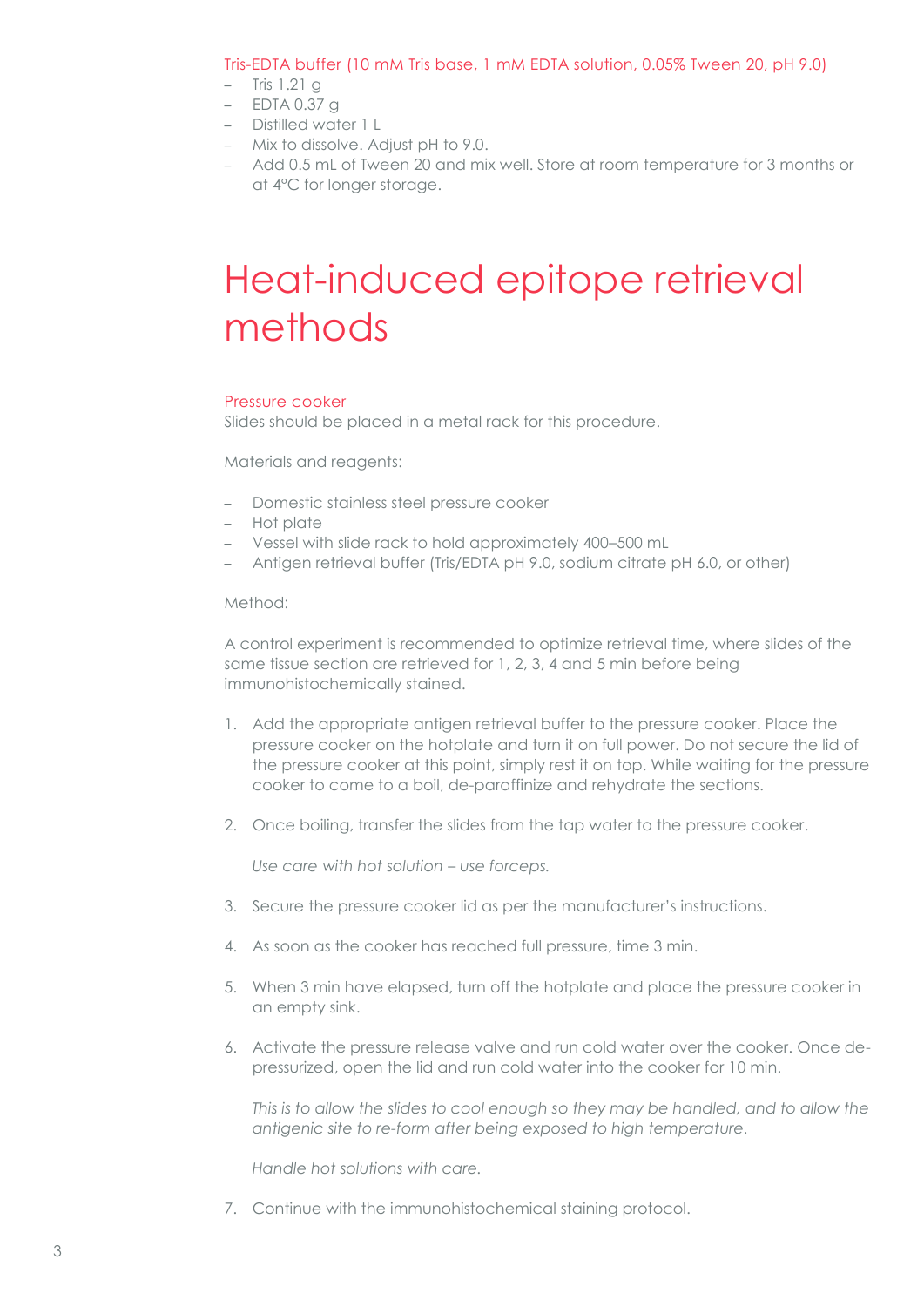### Tris-EDTA buffer (10 mM Tris base, 1 mM EDTA solution, 0.05% Tween 20, pH 9.0)

- Tris 1.21 g
- EDTA 0.37 g
- Distilled water 1 L
- Mix to dissolve. Adjust pH to 9.0.
- Add 0.5 mL of Tween 20 and mix well. Store at room temperature for 3 months or at 4°C for longer storage.

# Heat-induced epitope retrieval methods

#### Pressure cooker

Slides should be placed in a metal rack for this procedure.

Materials and reagents:

- Domestic stainless steel pressure cooker
- Hot plate
- Vessel with slide rack to hold approximately 400–500 mL
- Antigen retrieval buffer (Tris/EDTA pH 9.0, sodium citrate pH 6.0, or other)

#### Method:

A control experiment is recommended to optimize retrieval time, where slides of the same tissue section are retrieved for 1, 2, 3, 4 and 5 min before being immunohistochemically stained.

- 1. Add the appropriate antigen retrieval buffer to the pressure cooker. Place the pressure cooker on the hotplate and turn it on full power. Do not secure the lid of the pressure cooker at this point, simply rest it on top. While waiting for the pressure cooker to come to a boil, de-paraffinize and rehydrate the sections.
- 2. Once boiling, transfer the slides from the tap water to the pressure cooker.

*Use care with hot solution – use forceps.* 

- 3. Secure the pressure cooker lid as per the manufacturer's instructions.
- 4. As soon as the cooker has reached full pressure, time 3 min.
- 5. When 3 min have elapsed, turn off the hotplate and place the pressure cooker in an empty sink.
- 6. Activate the pressure release valve and run cold water over the cooker. Once depressurized, open the lid and run cold water into the cooker for 10 min.

*This is to allow the slides to cool enough so they may be handled, and to allow the antigenic site to re-form after being exposed to high temperature.*

*Handle hot solutions with care.*

7. Continue with the immunohistochemical staining protocol.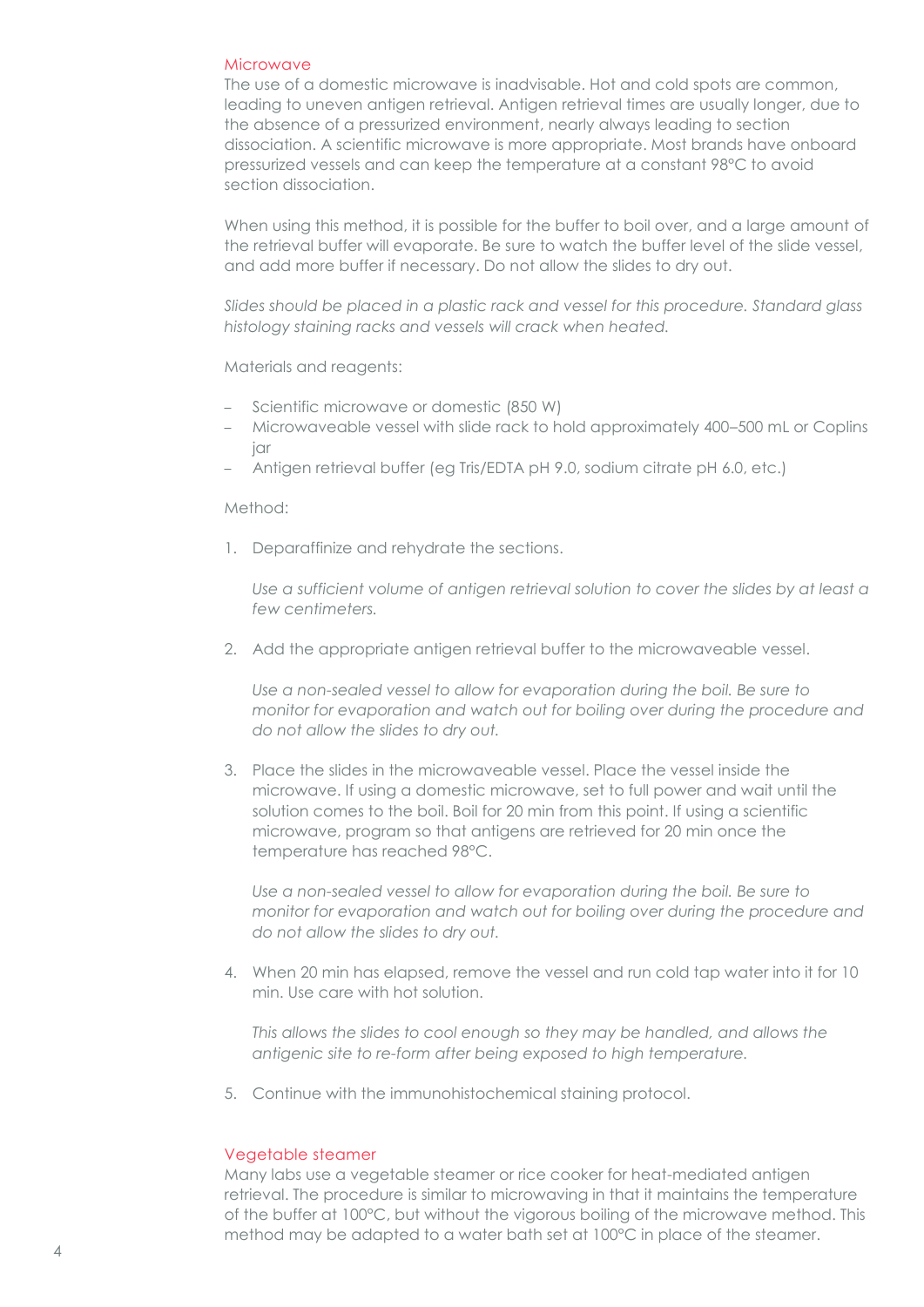#### Microwave

The use of a domestic microwave is inadvisable. Hot and cold spots are common, leading to uneven antigen retrieval. Antigen retrieval times are usually longer, due to the absence of a pressurized environment, nearly always leading to section dissociation. A scientific microwave is more appropriate. Most brands have onboard pressurized vessels and can keep the temperature at a constant 98°C to avoid section dissociation.

When using this method, it is possible for the buffer to boil over, and a large amount of the retrieval buffer will evaporate. Be sure to watch the buffer level of the slide vessel, and add more buffer if necessary. Do not allow the slides to dry out.

*Slides should be placed in a plastic rack and vessel for this procedure. Standard glass histology staining racks and vessels will crack when heated.*

Materials and reagents:

- Scientific microwave or domestic (850 W)
- Microwaveable vessel with slide rack to hold approximately 400–500 mL or Coplins jar
- Antigen retrieval buffer (eg Tris/EDTA pH 9.0, sodium citrate pH 6.0, etc.)

#### Method:

1. Deparaffinize and rehydrate the sections.

*Use a sufficient volume of antigen retrieval solution to cover the slides by at least a few centimeters.*

2. Add the appropriate antigen retrieval buffer to the microwaveable vessel.

Use a non-sealed vessel to allow for evaporation during the boil. Be sure to *monitor for evaporation and watch out for boiling over during the procedure and do not allow the slides to dry out.*

3. Place the slides in the microwaveable vessel. Place the vessel inside the microwave. If using a domestic microwave, set to full power and wait until the solution comes to the boil. Boil for 20 min from this point. If using a scientific microwave, program so that antigens are retrieved for 20 min once the temperature has reached 98°C.

*Use a non-sealed vessel to allow for evaporation during the boil. Be sure to monitor for evaporation and watch out for boiling over during the procedure and do not allow the slides to dry out.*

4. When 20 min has elapsed, remove the vessel and run cold tap water into it for 10 min. Use care with hot solution.

*This allows the slides to cool enough so they may be handled, and allows the antigenic site to re-form after being exposed to high temperature.*

5. Continue with the immunohistochemical staining protocol.

### Vegetable steamer

Many labs use a vegetable steamer or rice cooker for heat-mediated antigen retrieval. The procedure is similar to microwaving in that it maintains the temperature of the buffer at 100°C, but without the vigorous boiling of the microwave method. This method may be adapted to a water bath set at 100°C in place of the steamer.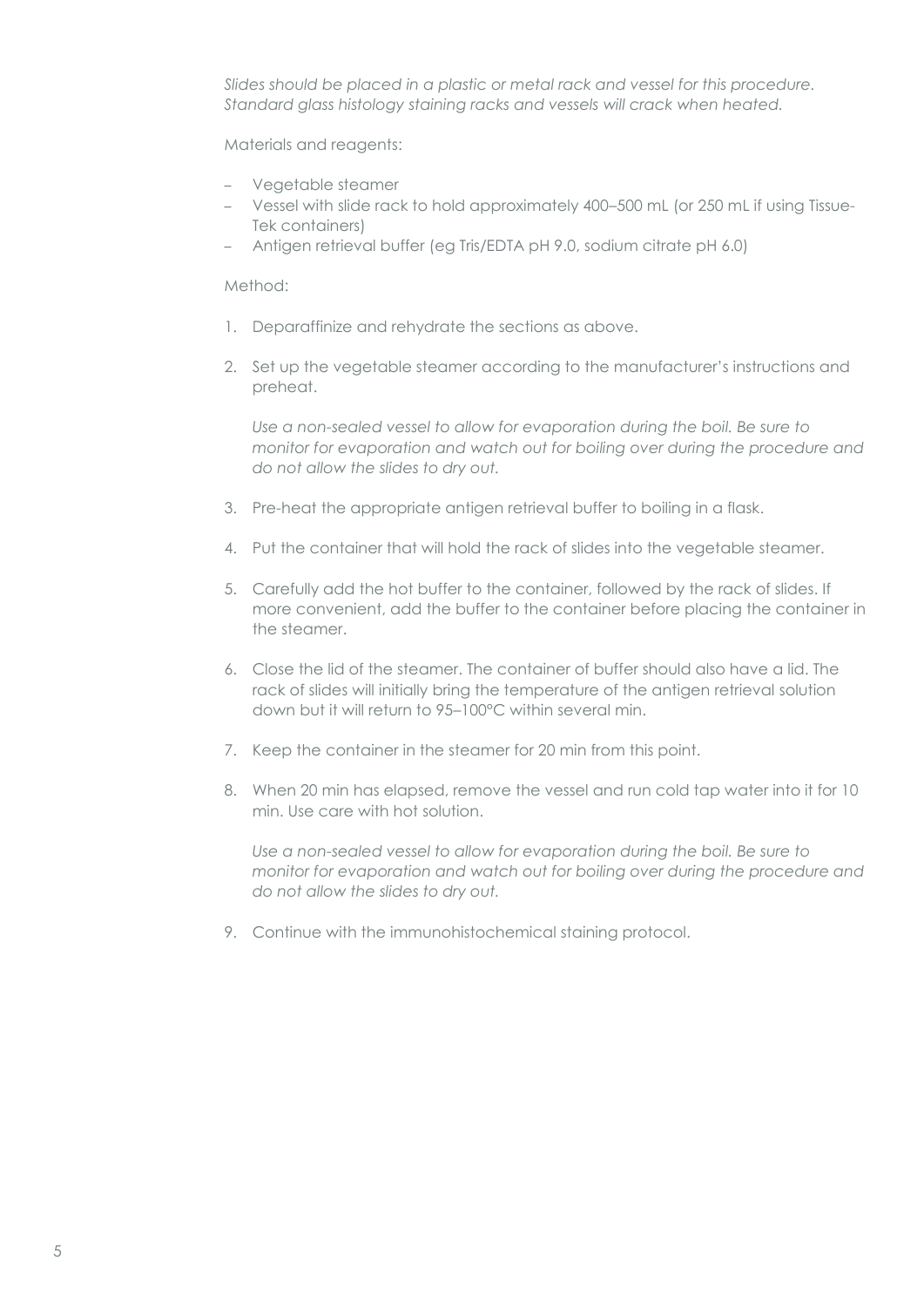*Slides should be placed in a plastic or metal rack and vessel for this procedure. Standard glass histology staining racks and vessels will crack when heated.*

Materials and reagents:

- Vegetable steamer
- Vessel with slide rack to hold approximately 400–500 mL (or 250 mL if using Tissue-Tek containers)
- Antigen retrieval buffer (eg Tris/EDTA pH 9.0, sodium citrate pH 6.0)

Method:

- 1. Deparaffinize and rehydrate the sections as above.
- 2. Set up the vegetable steamer according to the manufacturer's instructions and preheat.

*Use a non-sealed vessel to allow for evaporation during the boil. Be sure to monitor for evaporation and watch out for boiling over during the procedure and do not allow the slides to dry out.*

- 3. Pre-heat the appropriate antigen retrieval buffer to boiling in a flask.
- 4. Put the container that will hold the rack of slides into the vegetable steamer.
- 5. Carefully add the hot buffer to the container, followed by the rack of slides. If more convenient, add the buffer to the container before placing the container in the steamer.
- 6. Close the lid of the steamer. The container of buffer should also have a lid. The rack of slides will initially bring the temperature of the antigen retrieval solution down but it will return to 95–100°C within several min.
- 7. Keep the container in the steamer for 20 min from this point.
- 8. When 20 min has elapsed, remove the vessel and run cold tap water into it for 10 min. Use care with hot solution.

Use a non-sealed vessel to allow for evaporation during the boil. Be sure to *monitor for evaporation and watch out for boiling over during the procedure and do not allow the slides to dry out.*

9. Continue with the immunohistochemical staining protocol.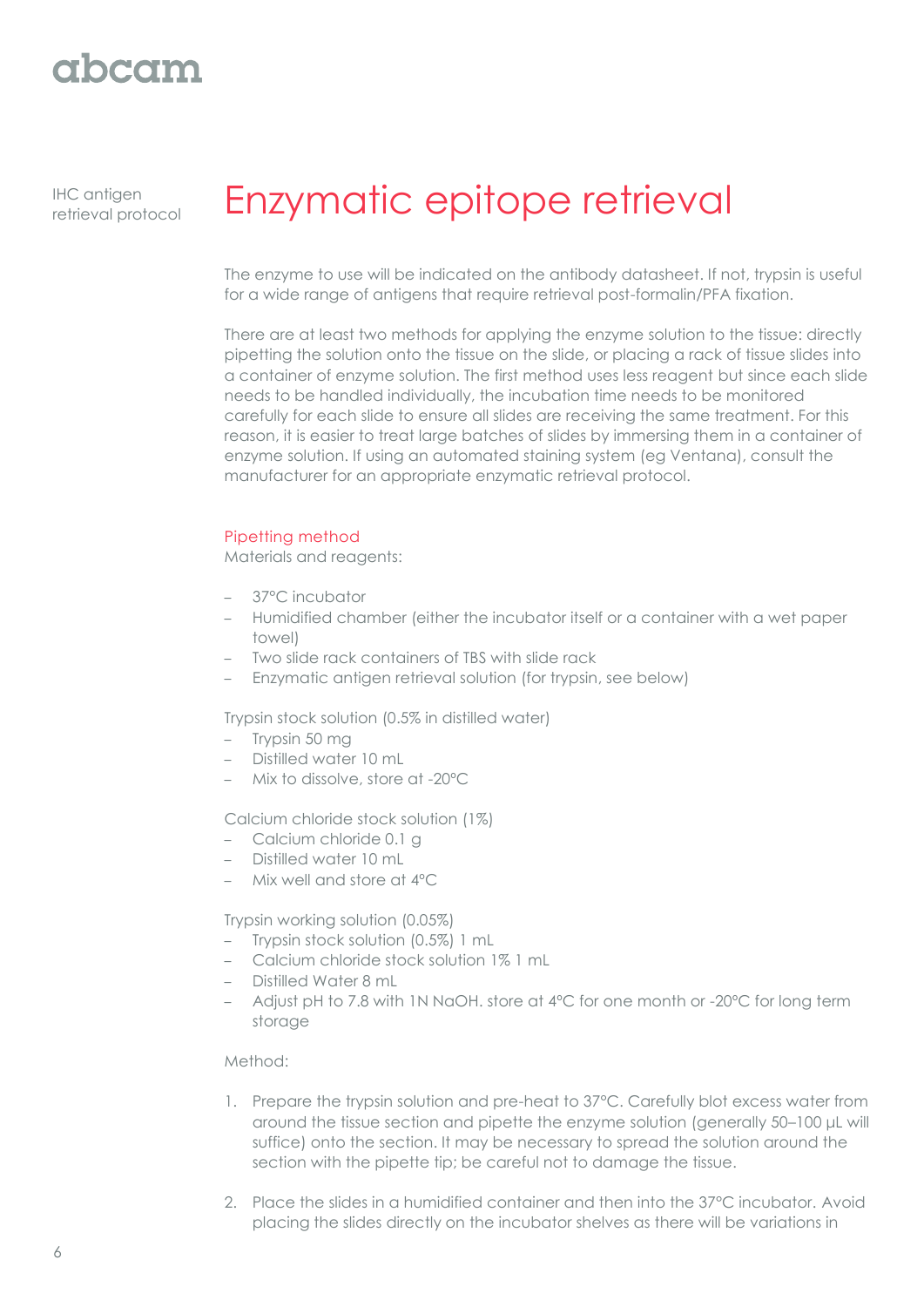# abcam

IHC antigen

# IHC antigen **Enzymatic epitope retrieval**

The enzyme to use will be indicated on the antibody datasheet. If not, trypsin is useful for a wide range of antigens that require retrieval post-formalin/PFA fixation.

There are at least two methods for applying the enzyme solution to the tissue: directly pipetting the solution onto the tissue on the slide, or placing a rack of tissue slides into a container of enzyme solution. The first method uses less reagent but since each slide needs to be handled individually, the incubation time needs to be monitored carefully for each slide to ensure all slides are receiving the same treatment. For this reason, it is easier to treat large batches of slides by immersing them in a container of enzyme solution. If using an automated staining system (eg Ventana), consult the manufacturer for an appropriate enzymatic retrieval protocol.

### Pipetting method

Materials and reagents:

- 37°C incubator
- Humidified chamber (either the incubator itself or a container with a wet paper towel)
- Two slide rack containers of TBS with slide rack
- Enzymatic antigen retrieval solution (for trypsin, see below)

Trypsin stock solution (0.5% in distilled water)

- Trypsin 50 mg
- Distilled water 10 mL
- Mix to dissolve, store at -20ºC

Calcium chloride stock solution (1%)

- Calcium chloride 0.1 g
- Distilled water 10 mL
- Mix well and store at 4ºC

Trypsin working solution (0.05%)

- Trypsin stock solution (0.5%) 1 mL
- Calcium chloride stock solution 1% 1 mL
- Distilled Water 8 mL
- Adjust pH to 7.8 with 1N NaOH. store at 4ºC for one month or -20ºC for long term storage

### Method:

- 1. Prepare the trypsin solution and pre-heat to 37°C. Carefully blot excess water from around the tissue section and pipette the enzyme solution (generally 50–100 μL will suffice) onto the section. It may be necessary to spread the solution around the section with the pipette tip; be careful not to damage the tissue.
- 2. Place the slides in a humidified container and then into the 37°C incubator. Avoid placing the slides directly on the incubator shelves as there will be variations in